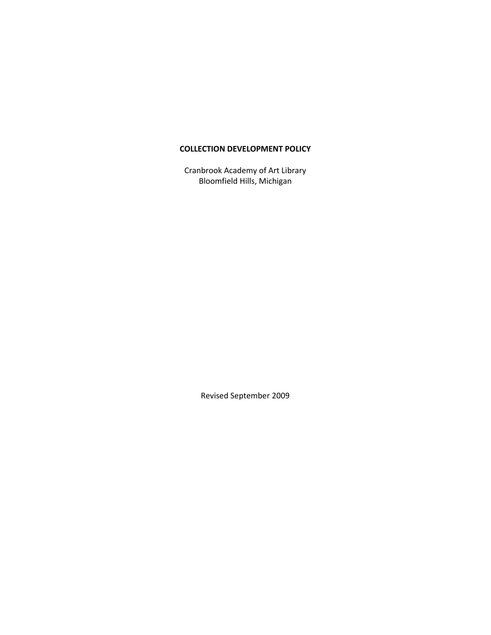## **COLLECTION DEVELOPMENT POLICY**

Cranbrook Academy of Art Library Bloomfield Hills, Michigan

Revised September 2009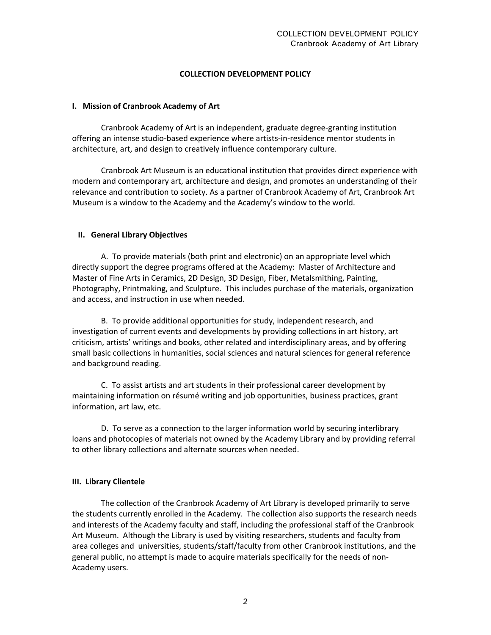## **COLLECTION DEVELOPMENT POLICY**

#### **I. Mission of Cranbrook Academy of Art**

Cranbrook Academy of Art is an independent, graduate degree‐granting institution offering an intense studio‐based experience where artists‐in‐residence mentor students in architecture, art, and design to creatively influence contemporary culture.

Cranbrook Art Museum is an educational institution that provides direct experience with modern and contemporary art, architecture and design, and promotes an understanding of their relevance and contribution to society. As a partner of Cranbrook Academy of Art, Cranbrook Art Museum is a window to the Academy and the Academy's window to the world.

#### **II. General Library Objectives**

A. To provide materials (both print and electronic) on an appropriate level which directly support the degree programs offered at the Academy: Master of Architecture and Master of Fine Arts in Ceramics, 2D Design, 3D Design, Fiber, Metalsmithing, Painting, Photography, Printmaking, and Sculpture. This includes purchase of the materials, organization and access, and instruction in use when needed.

B. To provide additional opportunities for study, independent research, and investigation of current events and developments by providing collections in art history, art criticism, artists' writings and books, other related and interdisciplinary areas, and by offering small basic collections in humanities, social sciences and natural sciences for general reference and background reading.

C. To assist artists and art students in their professional career development by maintaining information on résumé writing and job opportunities, business practices, grant information, art law, etc.

D. To serve as a connection to the larger information world by securing interlibrary loans and photocopies of materials not owned by the Academy Library and by providing referral to other library collections and alternate sources when needed.

#### **III. Library Clientele**

The collection of the Cranbrook Academy of Art Library is developed primarily to serve the students currently enrolled in the Academy. The collection also supports the research needs and interests of the Academy faculty and staff, including the professional staff of the Cranbrook Art Museum. Although the Library is used by visiting researchers, students and faculty from area colleges and universities, students/staff/faculty from other Cranbrook institutions, and the general public, no attempt is made to acquire materials specifically for the needs of non‐ Academy users.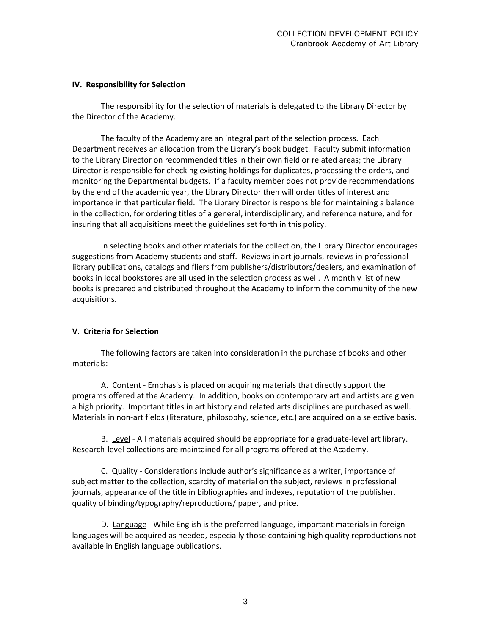#### **IV. Responsibility for Selection**

The responsibility for the selection of materials is delegated to the Library Director by the Director of the Academy.

The faculty of the Academy are an integral part of the selection process. Each Department receives an allocation from the Library's book budget. Faculty submit information to the Library Director on recommended titles in their own field or related areas; the Library Director is responsible for checking existing holdings for duplicates, processing the orders, and monitoring the Departmental budgets. If a faculty member does not provide recommendations by the end of the academic year, the Library Director then will order titles of interest and importance in that particular field. The Library Director is responsible for maintaining a balance in the collection, for ordering titles of a general, interdisciplinary, and reference nature, and for insuring that all acquisitions meet the guidelines set forth in this policy.

In selecting books and other materials for the collection, the Library Director encourages suggestions from Academy students and staff. Reviews in art journals, reviews in professional library publications, catalogs and fliers from publishers/distributors/dealers, and examination of books in local bookstores are all used in the selection process as well. A monthly list of new books is prepared and distributed throughout the Academy to inform the community of the new acquisitions.

## **V. Criteria for Selection**

The following factors are taken into consideration in the purchase of books and other materials:

A. Content ‐ Emphasis is placed on acquiring materials that directly support the programs offered at the Academy. In addition, books on contemporary art and artists are given a high priority. Important titles in art history and related arts disciplines are purchased as well. Materials in non‐art fields (literature, philosophy, science, etc.) are acquired on a selective basis.

B. Level ‐ All materials acquired should be appropriate for a graduate‐level art library. Research-level collections are maintained for all programs offered at the Academy.

C. Quality - Considerations include author's significance as a writer, importance of subject matter to the collection, scarcity of material on the subject, reviews in professional journals, appearance of the title in bibliographies and indexes, reputation of the publisher, quality of binding/typography/reproductions/ paper, and price.

D. Language - While English is the preferred language, important materials in foreign languages will be acquired as needed, especially those containing high quality reproductions not available in English language publications.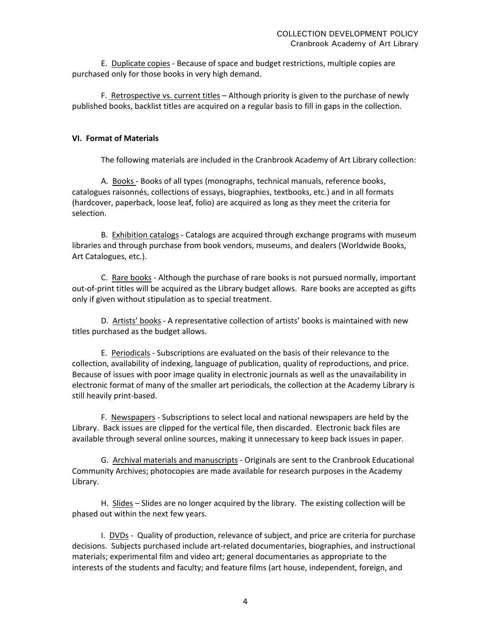E. Duplicate copies ‐ Because of space and budget restrictions, multiple copies are purchased only for those books in very high demand.

F. Retrospective vs. current titles – Although priority is given to the purchase of newly published books, backlist titles are acquired on a regular basis to fill in gaps in the collection.

# **VI. Format of Materials**

The following materials are included in the Cranbrook Academy of Art Library collection:

A. Books ‐ Books of all types (monographs, technical manuals, reference books, catalogues raisonnés, collections of essays, biographies, textbooks, etc.) and in all formats (hardcover, paperback, loose leaf, folio) are acquired as long as they meet the criteria for selection.

B. Exhibition catalogs ‐ Catalogs are acquired through exchange programs with museum libraries and through purchase from book vendors, museums, and dealers (Worldwide Books, Art Catalogues, etc.).

C. Rare books - Although the purchase of rare books is not pursued normally, important out‐of‐print titles will be acquired as the Library budget allows. Rare books are accepted as gifts only if given without stipulation as to special treatment.

D. Artists' books - A representative collection of artists' books is maintained with new titles purchased as the budget allows.

E. Periodicals ‐ Subscriptions are evaluated on the basis of their relevance to the collection, availability of indexing, language of publication, quality of reproductions, and price. Because of issues with poor image quality in electronic journals as well as the unavailability in electronic format of many of the smaller art periodicals, the collection at the Academy Library is still heavily print‐based.

F. Newspapers ‐ Subscriptions to select local and national newspapers are held by the Library. Back issues are clipped for the vertical file, then discarded. Electronic back files are available through several online sources, making it unnecessary to keep back issues in paper.

G. Archival materials and manuscripts ‐ Originals are sent to the Cranbrook Educational Community Archives; photocopies are made available for research purposes in the Academy Library.

H. Slides – Slides are no longer acquired by the library. The existing collection will be phased out within the next few years.

I. DVDs ‐ Quality of production, relevance of subject, and price are criteria for purchase decisions. Subjects purchased include art‐related documentaries, biographies, and instructional materials; experimental film and video art; general documentaries as appropriate to the interests of the students and faculty; and feature films (art house, independent, foreign, and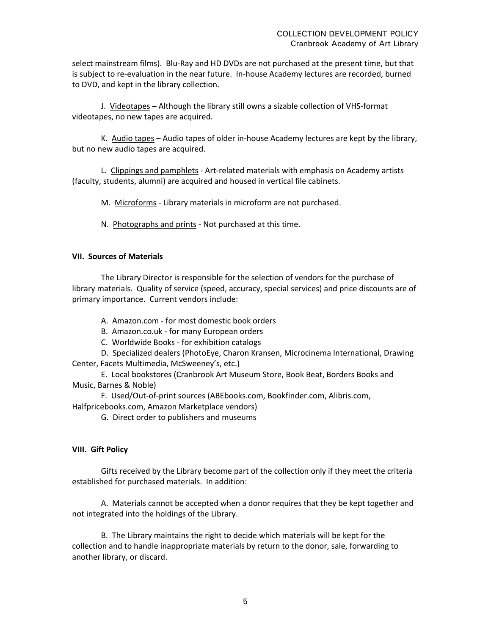select mainstream films). Blu‐Ray and HD DVDs are not purchased at the present time, but that is subject to re‐evaluation in the near future. In‐house Academy lectures are recorded, burned to DVD, and kept in the library collection.

J. Videotapes – Although the library still owns a sizable collection of VHS‐format videotapes, no new tapes are acquired.

K. Audio tapes – Audio tapes of older in‐house Academy lectures are kept by the library, but no new audio tapes are acquired.

L. Clippings and pamphlets ‐ Art‐related materials with emphasis on Academy artists (faculty, students, alumni) are acquired and housed in vertical file cabinets.

M. Microforms - Library materials in microform are not purchased.

N. Photographs and prints - Not purchased at this time.

#### **VII. Sources of Materials**

The Library Director is responsible for the selection of vendors for the purchase of library materials. Quality of service (speed, accuracy, special services) and price discounts are of primary importance. Current vendors include:

A. Amazon.com ‐ for most domestic book orders

B. Amazon.co.uk ‐ for many European orders

C. Worldwide Books ‐ for exhibition catalogs

D. Specialized dealers (PhotoEye, Charon Kransen, Microcinema International, Drawing Center, Facets Multimedia, McSweeney's, etc.)

E. Local bookstores (Cranbrook Art Museum Store, Book Beat, Borders Books and Music, Barnes & Noble)

F. Used/Out‐of‐print sources (ABEbooks.com, Bookfinder.com, Alibris.com,

Halfpricebooks.com, Amazon Marketplace vendors)

G. Direct order to publishers and museums

## **VIII. Gift Policy**

Gifts received by the Library become part of the collection only if they meet the criteria established for purchased materials. In addition:

A. Materials cannot be accepted when a donor requires that they be kept together and not integrated into the holdings of the Library.

B. The Library maintains the right to decide which materials will be kept for the collection and to handle inappropriate materials by return to the donor, sale, forwarding to another library, or discard.